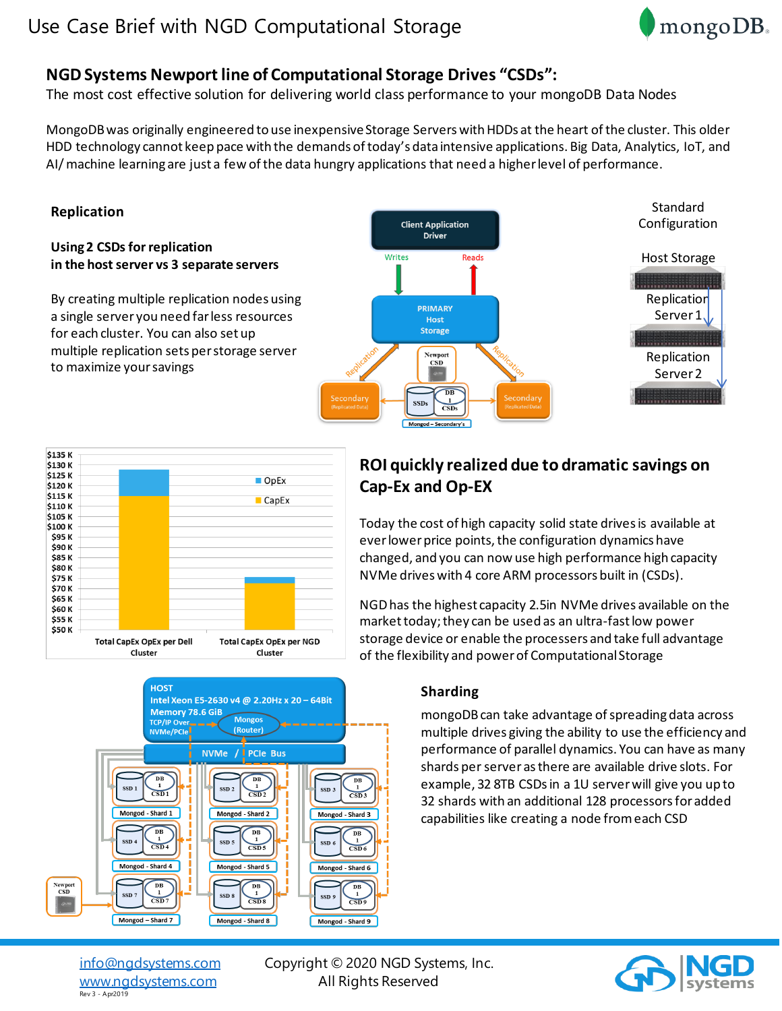# Use Case Brief with NGD Computational Storage



# **NGD Systems Newport line of Computational Storage Drives "CSDs":**

The most cost effective solution for delivering world class performance to your mongoDB Data Nodes

MongoDB was originally engineered to use inexpensive Storage Servers with HDDs at the heart of the cluster. This older HDD technology cannot keep pace with the demands of today's data intensive applications. Big Data, Analytics, IoT, and AI/ machine learning are just a few of the data hungry applications that need a higher level of performance.

# **Replication**

### **Using 2 CSDs for replication in the host server vs 3 separate servers**

By creating multiple replication nodes using a single server you need far less resources for each cluster. You can also set up multiple replication sets per storage server to maximize your savings





#### **HOST** Intel Xeon E5-2630 v4 @ 2.20Hz x 20 - 64Bit **Memory 78.6 GiB Mongos** TCP/IP Over NVMe/PCI<mark>e</mark> (Router) NVMe / **PCIe Bus**  $\mathbf{D}\mathbf{B}$ SSD<sub>1</sub> SSD<sub>2</sub> SSD<sub>3</sub>  $CSD1$  $CSD<sub>2</sub>$  $CSD3$ Mongod - Shard 1 Mongod - Shard 2 Mongod - Shard 3  $\frac{DB}{1}$  $\mathbf{D}\mathbf{B}$  $\mathbf 1$ SSD SSD:  $SSD$  $CSD4$  $\overline{\text{CSD}5}$  $CSD6$ Mongod - Shard 4 Mongod - Shard 5 Mongod - Shard 6 ewport<br>CSD  $\overline{DB}$  $\mathbf{D}\mathbf{B}$ DB  $SSD$  $SSD$ SSD:  $\overline{\text{CSD 7}}$  $CSD 8$ CSD<sub>9</sub> Mongod - Shard 7 Mongod - Shard 8 Mongod - Shard 9

# **ROI quickly realized due to dramatic savings on Cap-Ex and Op-EX**

Today the cost of high capacity solid state drives is available at ever lower price points, the configuration dynamics have changed, and you can now use high performance high capacity NVMe drives with 4 core ARM processors built in (CSDs).

NGD has the highest capacity 2.5in NVMe drives available on the market today; they can be used as an ultra-fast low power storage device or enable the processers and take full advantage of the flexibility and power of Computational Storage

# **Sharding**

mongoDB can take advantage of spreading data across multiple drives giving the ability to use the efficiency and performance of parallel dynamics. You can have as many shards per server as there are available drive slots. For example, 32 8TB CSDs in a 1U serverwill give you up to 32 shards with an additional 128 processors for added capabilities like creating a node from each CSD

Rev 3 - Apr2019

[info@ngdsystems.com](mailto:info@ngdsystems.com) Copyright © 2020 NGD Systems, Inc. [www.ngdsystems.com](http://www.ngdsystems.com/) All Rights Reserved